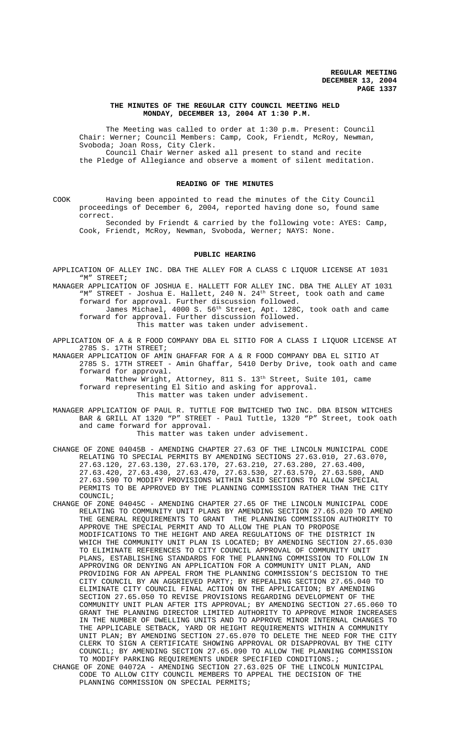## **THE MINUTES OF THE REGULAR CITY COUNCIL MEETING HELD MONDAY, DECEMBER 13, 2004 AT 1:30 P.M.**

The Meeting was called to order at 1:30 p.m. Present: Council Chair: Werner; Council Members: Camp, Cook, Friendt, McRoy, Newman, Svoboda; Joan Ross, City Clerk. Council Chair Werner asked all present to stand and recite

the Pledge of Allegiance and observe a moment of silent meditation.

#### **READING OF THE MINUTES**

COOK Having been appointed to read the minutes of the City Council proceedings of December 6, 2004, reported having done so, found same correct.

Seconded by Friendt & carried by the following vote: AYES: Camp, Cook, Friendt, McRoy, Newman, Svoboda, Werner; NAYS: None.

# **PUBLIC HEARING**

- APPLICATION OF ALLEY INC. DBA THE ALLEY FOR A CLASS C LIQUOR LICENSE AT 1031 "M" STREET**;**
- MANAGER APPLICATION OF JOSHUA E. HALLETT FOR ALLEY INC. DBA THE ALLEY AT 1031 "M" STREET - Joshua E. Hallett, 240 N. 24<sup>th</sup> Street, took oath and came forward for approval. Further discussion followed.
	- James Michael,  $4000$  S.  $56^{\text{th}}$  Street, Apt. 128C, took oath and came forward for approval. Further discussion followed. This matter was taken under advisement.
- APPLICATION OF A & R FOOD COMPANY DBA EL SITIO FOR A CLASS I LIQUOR LICENSE AT 2785 S. 17TH STREET;

MANAGER APPLICATION OF AMIN GHAFFAR FOR A & R FOOD COMPANY DBA EL SITIO AT 2785 S. 17TH STREET - Amin Ghaffar, 5410 Derby Drive, took oath and came forward for approval.

Matthew Wright, Attorney, 811 S. 13<sup>th</sup> Street, Suite 101, came forward representing El Sitio and asking for approval. This matter was taken under advisement.

- MANAGER APPLICATION OF PAUL R. TUTTLE FOR BWITCHED TWO INC. DBA BISON WITCHES BAR & GRILL AT 1320 "P" STREET - Paul Tuttle, 1320 "P" Street, took oath and came forward for approval. This matter was taken under advisement.
- CHANGE OF ZONE 04045B AMENDING CHAPTER 27.63 OF THE LINCOLN MUNICIPAL CODE RELATING TO SPECIAL PERMITS BY AMENDING SECTIONS 27.63.010, 27.63.070, 27.63.120, 27.63.130, 27.63.170, 27.63.210, 27.63.280, 27.63.400, 27.63.420, 27.63.430, 27.63.470, 27.63.530, 27.63.570, 27.63.580, AND 27.63.590 TO MODIFY PROVISIONS WITHIN SAID SECTIONS TO ALLOW SPECIAL PERMITS TO BE APPROVED BY THE PLANNING COMMISSION RATHER THAN THE CITY COUNCIL;
- CHANGE OF ZONE 04045C AMENDING CHAPTER 27.65 OF THE LINCOLN MUNICIPAL CODE RELATING TO COMMUNITY UNIT PLANS BY AMENDING SECTION 27.65.020 TO AMEND THE GENERAL REQUIREMENTS TO GRANT THE PLANNING COMMISSION AUTHORITY TO APPROVE THE SPECIAL PERMIT AND TO ALLOW THE PLAN TO PROPOSE MODIFICATIONS TO THE HEIGHT AND AREA REGULATIONS OF THE DISTRICT IN WHICH THE COMMUNITY UNIT PLAN IS LOCATED; BY AMENDING SECTION 27.65.030 TO ELIMINATE REFERENCES TO CITY COUNCIL APPROVAL OF COMMUNITY UNIT PLANS, ESTABLISHING STANDARDS FOR THE PLANNING COMMISSION TO FOLLOW IN APPROVING OR DENYING AN APPLICATION FOR A COMMUNITY UNIT PLAN, AND PROVIDING FOR AN APPEAL FROM THE PLANNING COMMISSION'S DECISION TO THE CITY COUNCIL BY AN AGGRIEVED PARTY; BY REPEALING SECTION 27.65.040 TO ELIMINATE CITY COUNCIL FINAL ACTION ON THE APPLICATION; BY AMENDING SECTION 27.65.050 TO REVISE PROVISIONS REGARDING DEVELOPMENT OF THE COMMUNITY UNIT PLAN AFTER ITS APPROVAL; BY AMENDING SECTION 27.65.060 TO GRANT THE PLANNING DIRECTOR LIMITED AUTHORITY TO APPROVE MINOR INCREASES IN THE NUMBER OF DWELLING UNITS AND TO APPROVE MINOR INTERNAL CHANGES TO THE APPLICABLE SETBACK, YARD OR HEIGHT REQUIREMENTS WITHIN A COMMUNITY UNIT PLAN; BY AMENDING SECTION 27.65.070 TO DELETE THE NEED FOR THE CITY CLERK TO SIGN A CERTIFICATE SHOWING APPROVAL OR DISAPPROVAL BY THE CITY COUNCIL; BY AMENDING SECTION 27.65.090 TO ALLOW THE PLANNING COMMISSION TO MODIFY PARKING REQUIREMENTS UNDER SPECIFIED CONDITIONS. ;
- CHANGE OF ZONE 04072A AMENDING SECTION 27.63.025 OF THE LINCOLN MUNICIPAL CODE TO ALLOW CITY COUNCIL MEMBERS TO APPEAL THE DECISION OF THE PLANNING COMMISSION ON SPECIAL PERMITS;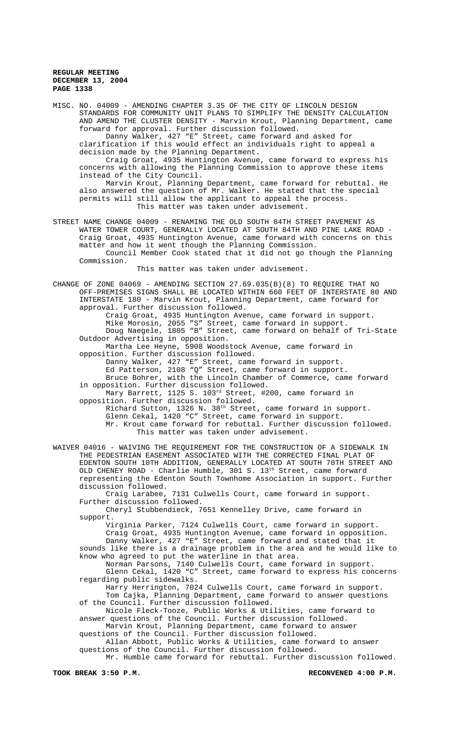MISC. NO. 04009 - AMENDING CHAPTER 3.35 OF THE CITY OF LINCOLN DESIGN STANDARDS FOR COMMUNITY UNIT PLANS TO SIMPLIFY THE DENSITY CALCULATION AND AMEND THE CLUSTER DENSITY - Marvin Krout, Planning Department, came forward for approval. Further discussion followed. Danny Walker, 427 "E" Street, came forward and asked for clarification if this would effect an individuals right to appeal a decision made by the Planning Department. Craig Groat, 4935 Huntington Avenue, came forward to express his concerns with allowing the Planning Commission to approve these items instead of the City Council. Marvin Krout, Planning Department, came forward for rebuttal. He also answered the question of Mr. Walker. He stated that the special permits will still allow the applicant to appeal the process. This matter was taken under advisement. STREET NAME CHANGE 04009 - RENAMING THE OLD SOUTH 84TH STREET PAVEMENT AS WATER TOWER COURT, GENERALLY LOCATED AT SOUTH 84TH AND PINE LAKE ROAD - Craig Groat, 4935 Huntington Avenue, came forward with concerns on this matter and how it went though the Planning Commission. Council Member Cook stated that it did not go though the Planning Commission. This matter was taken under advisement. CHANGE OF ZONE 04069 - AMENDING SECTION 27.69.035(B)(8) TO REQUIRE THAT NO OFF-PREMISES SIGNS SHALL BE LOCATED WITHIN 660 FEET OF INTERSTATE 80 AND INTERSTATE 180 - Marvin Krout, Planning Department, came forward for approval. Further discussion followed. Craig Groat, 4935 Huntington Avenue, came forward in support. Mike Morosin, 2055 "S" Street, came forward in support. Doug Naegele, 1805 "B" Street, came forward on behalf of Tri-State Outdoor Advertising in opposition. Martha Lee Heyne, 5908 Woodstock Avenue, came forward in opposition. Further discussion followed. Danny Walker, 427 "E" Street, came forward in support. Ed Patterson, 2108 "Q" Street, came forward in support. Bruce Bohrer, with the Lincoln Chamber of Commerce, came forward in opposition. Further discussion followed. Mary Barrett, 1125 S. 103<sup>rd</sup> Street, #200, came forward in opposition. Further discussion followed. Richard Sutton, 1326 N. 38<sup>th</sup> Street, came forward in support. Glenn Cekal, 1420 "C" Street, came forward in support. Mr. Krout came forward for rebuttal. Further discussion followed. This matter was taken under advisement. WAIVER 04016 - WAIVING THE REQUIREMENT FOR THE CONSTRUCTION OF A SIDEWALK IN THE PEDESTRIAN EASEMENT ASSOCIATED WITH THE CORRECTED FINAL PLAT OF EDENTON SOUTH 10TH ADDITION, GENERALLY LOCATED AT SOUTH 70TH STREET AND OLD CHENEY ROAD - Charlie Humble, 301 S. 13<sup>th</sup> Street, came forward representing the Edenton South Townhome Association in support. Further discussion followed. Craig Larabee, 7131 Culwells Court, came forward in support. Further discussion followed. Cheryl Stubbendieck, 7651 Kennelley Drive, came forward in support. Virginia Parker, 7124 Culwells Court, came forward in support. Craig Groat, 4935 Huntington Avenue, came forward in opposition. Danny Walker, 427 "E" Street, came forward and stated that it sounds like there is a drainage problem in the area and he would like to know who agreed to put the waterline in that area. Norman Parsons, 7140 Culwells Court, came forward in support. Glenn Cekal, 1420 "C" Street, came forward to express his concerns regarding public sidewalks. Harry Herrington, 7024 Culwells Court, came forward in support.

Tom Cajka, Planning Department, came forward to answer questions of the Council. Further discussion followed. Nicole Fleck-Tooze, Public Works & Utilities, came forward to

answer questions of the Council. Further discussion followed. Marvin Krout, Planning Department, came forward to answer

questions of the Council. Further discussion followed. Allan Abbott, Public Works & Utilities, came forward to answer questions of the Council. Further discussion followed.

Mr. Humble came forward for rebuttal. Further discussion followed.

**TOOK BREAK 3:50 P.M. RECONVENED 4:00 P.M.**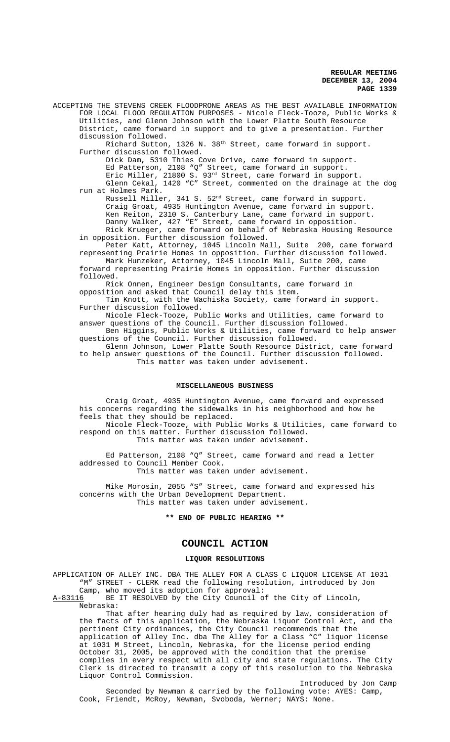ACCEPTING THE STEVENS CREEK FLOODPRONE AREAS AS THE BEST AVAILABLE INFORMATION FOR LOCAL FLOOD REGULATION PURPOSES - Nicole Fleck-Tooze, Public Works & Utilities, and Glenn Johnson with the Lower Platte South Resource District, came forward in support and to give a presentation. Further discussion followed.

Richard Sutton, 1326 N. 38<sup>th</sup> Street, came forward in support. Further discussion followed.

Dick Dam, 5310 Thies Cove Drive, came forward in support. Ed Patterson, 2108 "Q" Street, came forward in support.

Eric Miller, 21800 S. 93rd Street, came forward in support. Glenn Cekal, 1420 "C" Street, commented on the drainage at the dog run at Holmes Park.

Russell Miller, 341 S. 52<sup>nd</sup> Street, came forward in support. Craig Groat, 4935 Huntington Avenue, came forward in support. Ken Reiton, 2310 S. Canterbury Lane, came forward in support. Danny Walker, 427 "E" Street, came forward in opposition. Rick Krueger, came forward on behalf of Nebraska Housing Resource

in opposition. Further discussion followed. Peter Katt, Attorney, 1045 Lincoln Mall, Suite 200, came forward representing Prairie Homes in opposition. Further discussion followed.

Mark Hunzeker, Attorney, 1045 Lincoln Mall, Suite 200, came forward representing Prairie Homes in opposition. Further discussion followed.

Rick Onnen, Engineer Design Consultants, came forward in opposition and asked that Council delay this item.

Tim Knott, with the Wachiska Society, came forward in support. Further discussion followed.

Nicole Fleck-Tooze, Public Works and Utilities, came forward to answer questions of the Council. Further discussion followed.

Ben Higgins, Public Works & Utilities, came forward to help answer questions of the Council. Further discussion followed.

Glenn Johnson, Lower Platte South Resource District, came forward to help answer questions of the Council. Further discussion followed. This matter was taken under advisement.

# **MISCELLANEOUS BUSINESS**

Craig Groat, 4935 Huntington Avenue, came forward and expressed his concerns regarding the sidewalks in his neighborhood and how he feels that they should be replaced. Nicole Fleck-Tooze, with Public Works & Utilities, came forward to respond on this matter. Further discussion followed.

This matter was taken under advisement.

Ed Patterson, 2108 "Q" Street, came forward and read a letter addressed to Council Member Cook. This matter was taken under advisement.

Mike Morosin, 2055 "S" Street, came forward and expressed his concerns with the Urban Development Department. This matter was taken under advisement.

# **\*\* END OF PUBLIC HEARING \*\***

# **COUNCIL ACTION**

## **LIQUOR RESOLUTIONS**

APPLICATION OF ALLEY INC. DBA THE ALLEY FOR A CLASS C LIQUOR LICENSE AT 1031 "M" STREET - CLERK read the following resolution, introduced by Jon Camp, who moved its adoption for approval:

A-83116 BE IT RESOLVED by the City Council of the City of Lincoln, Nebraska:

That after hearing duly had as required by law, consideration of the facts of this application, the Nebraska Liquor Control Act, and the pertinent City ordinances, the City Council recommends that the application of Alley Inc. dba The Alley for a Class "C" liquor license at 1031 M Street, Lincoln, Nebraska, for the license period ending October 31, 2005, be approved with the condition that the premise complies in every respect with all city and state regulations. The City Clerk is directed to transmit a copy of this resolution to the Nebraska Liquor Control Commission.

Introduced by Jon Camp Seconded by Newman & carried by the following vote: AYES: Camp, Cook, Friendt, McRoy, Newman, Svoboda, Werner; NAYS: None.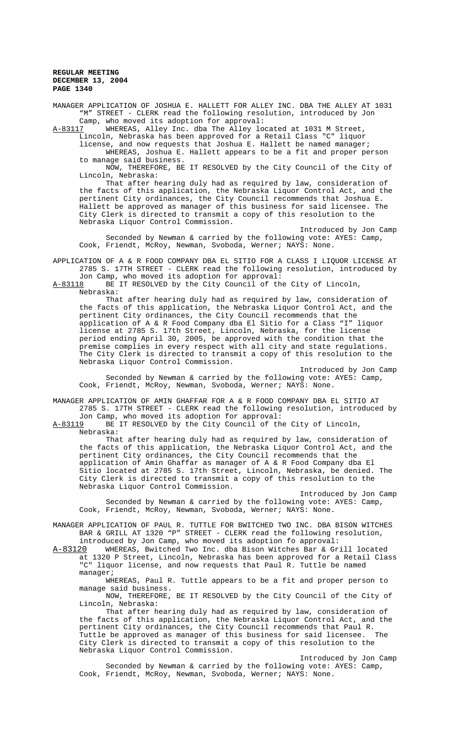MANAGER APPLICATION OF JOSHUA E. HALLETT FOR ALLEY INC. DBA THE ALLEY AT 1031 "M" STREET - CLERK read the following resolution, introduced by Jon Camp, who moved its adoption for approval:<br>A-83117 WHEREAS, Alley Inc. dba The Alley loo

A-83117 WHEREAS, Alley Inc. dba The Alley located at 1031 M Street,

Lincoln, Nebraska has been approved for a Retail Class "C" liquor license, and now requests that Joshua E. Hallett be named manager; WHEREAS, Joshua E. Hallett appears to be a fit and proper person to manage said business.

NOW, THEREFORE, BE IT RESOLVED by the City Council of the City of Lincoln, Nebraska:

That after hearing duly had as required by law, consideration of the facts of this application, the Nebraska Liquor Control Act, and the pertinent City ordinances, the City Council recommends that Joshua E. Hallett be approved as manager of this business for said licensee. The City Clerk is directed to transmit a copy of this resolution to the Nebraska Liquor Control Commission.

Introduced by Jon Camp Seconded by Newman & carried by the following vote: AYES: Camp, Cook, Friendt, McRoy, Newman, Svoboda, Werner; NAYS: None.

APPLICATION OF A & R FOOD COMPANY DBA EL SITIO FOR A CLASS I LIQUOR LICENSE AT 2785 S. 17TH STREET - CLERK read the following resolution, introduced by

Jon Camp, who moved its adoption for approval:<br>A-83118 BE IT RESOLVED by the City Council of th BE IT RESOLVED by the City Council of the City of Lincoln,

Nebraska:

That after hearing duly had as required by law, consideration of the facts of this application, the Nebraska Liquor Control Act, and the pertinent City ordinances, the City Council recommends that the application of A & R Food Company dba El Sitio for a Class "I" liquor license at 2785 S. 17th Street, Lincoln, Nebraska, for the license period ending April 30, 2005, be approved with the condition that the premise complies in every respect with all city and state regulations. The City Clerk is directed to transmit a copy of this resolution to the Nebraska Liquor Control Commission.

Introduced by Jon Camp Seconded by Newman & carried by the following vote: AYES: Camp, Cook, Friendt, McRoy, Newman, Svoboda, Werner; NAYS: None.

MANAGER APPLICATION OF AMIN GHAFFAR FOR A & R FOOD COMPANY DBA EL SITIO AT 2785 S. 17TH STREET - CLERK read the following resolution, introduced by

Jon Camp, who moved its adoption for approval:

A-83119 BE IT RESOLVED by the City Council of the City of Lincoln, Nebraska:

That after hearing duly had as required by law, consideration of the facts of this application, the Nebraska Liquor Control Act, and the pertinent City ordinances, the City Council recommends that the application of Amin Ghaffar as manager of A & R Food Company dba El Sitio located at 2785 S. 17th Street, Lincoln, Nebraska, be denied. The City Clerk is directed to transmit a copy of this resolution to the Nebraska Liquor Control Commission.

Introduced by Jon Camp Seconded by Newman & carried by the following vote: AYES: Camp, Cook, Friendt, McRoy, Newman, Svoboda, Werner; NAYS: None.

MANAGER APPLICATION OF PAUL R. TUTTLE FOR BWITCHED TWO INC. DBA BISON WITCHES BAR & GRILL AT 1320 "P" STREET - CLERK read the following resolution, introduced by Jon Camp, who moved its adoption fo approval:

A-83120 WHEREAS, Bwitched Two Inc. dba Bison Witches Bar & Grill located at 1320 P Street, Lincoln, Nebraska has been approved for a Retail Class "C" liquor license, and now requests that Paul R. Tuttle be named manager;

WHEREAS, Paul R. Tuttle appears to be a fit and proper person to manage said business.

NOW, THEREFORE, BE IT RESOLVED by the City Council of the City of Lincoln, Nebraska:

That after hearing duly had as required by law, consideration of the facts of this application, the Nebraska Liquor Control Act, and the pertinent City ordinances, the City Council recommends that Paul R. Tuttle be approved as manager of this business for said licensee. The City Clerk is directed to transmit a copy of this resolution to the Nebraska Liquor Control Commission.

Introduced by Jon Camp Seconded by Newman & carried by the following vote: AYES: Camp, Cook, Friendt, McRoy, Newman, Svoboda, Werner; NAYS: None.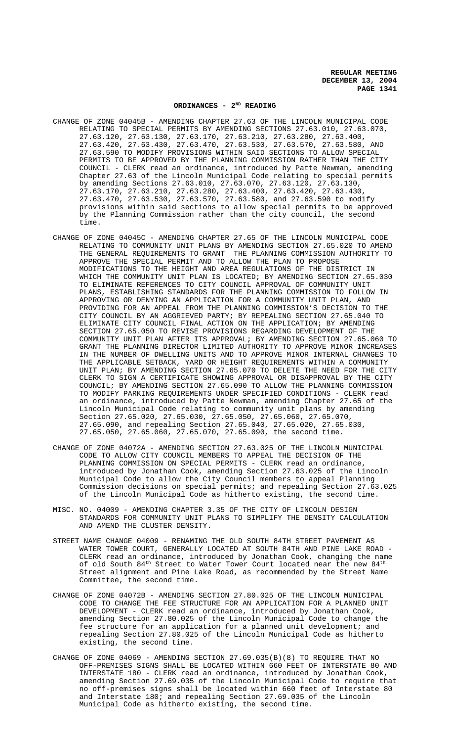# **ORDINANCES - 2ND READING**

- CHANGE OF ZONE 04045B AMENDING CHAPTER 27.63 OF THE LINCOLN MUNICIPAL CODE RELATING TO SPECIAL PERMITS BY AMENDING SECTIONS 27.63.010, 27.63.070, 27.63.120, 27.63.130, 27.63.170, 27.63.210, 27.63.280, 27.63.400, 27.63.420, 27.63.430, 27.63.470, 27.63.530, 27.63.570, 27.63.580, AND 27.63.590 TO MODIFY PROVISIONS WITHIN SAID SECTIONS TO ALLOW SPECIAL PERMITS TO BE APPROVED BY THE PLANNING COMMISSION RATHER THAN THE CITY COUNCIL - CLERK read an ordinance, introduced by Patte Newman, amending Chapter 27.63 of the Lincoln Municipal Code relating to special permits by amending Sections 27.63.010, 27.63.070, 27.63.120, 27.63.130, 27.63.170, 27.63.210, 27.63.280, 27.63.400, 27.63.420, 27.63.430, 27.63.470, 27.63.530, 27.63.570, 27.63.580, and 27.63.590 to modify provisions within said sections to allow special permits to be approved by the Planning Commission rather than the city council, the second time.
- CHANGE OF ZONE 04045C AMENDING CHAPTER 27.65 OF THE LINCOLN MUNICIPAL CODE RELATING TO COMMUNITY UNIT PLANS BY AMENDING SECTION 27.65.020 TO AMEND THE GENERAL REQUIREMENTS TO GRANT THE PLANNING COMMISSION AUTHORITY TO APPROVE THE SPECIAL PERMIT AND TO ALLOW THE PLAN TO PROPOSE MODIFICATIONS TO THE HEIGHT AND AREA REGULATIONS OF THE DISTRICT IN WHICH THE COMMUNITY UNIT PLAN IS LOCATED; BY AMENDING SECTION 27.65.030 TO ELIMINATE REFERENCES TO CITY COUNCIL APPROVAL OF COMMUNITY UNIT PLANS, ESTABLISHING STANDARDS FOR THE PLANNING COMMISSION TO FOLLOW IN APPROVING OR DENYING AN APPLICATION FOR A COMMUNITY UNIT PLAN, AND PROVIDING FOR AN APPEAL FROM THE PLANNING COMMISSION'S DECISION TO THE CITY COUNCIL BY AN AGGRIEVED PARTY; BY REPEALING SECTION 27.65.040 TO ELIMINATE CITY COUNCIL FINAL ACTION ON THE APPLICATION; BY AMENDING SECTION 27.65.050 TO REVISE PROVISIONS REGARDING DEVELOPMENT OF THE COMMUNITY UNIT PLAN AFTER ITS APPROVAL; BY AMENDING SECTION 27.65.060 TO GRANT THE PLANNING DIRECTOR LIMITED AUTHORITY TO APPROVE MINOR INCREASES IN THE NUMBER OF DWELLING UNITS AND TO APPROVE MINOR INTERNAL CHANGES TO THE APPLICABLE SETBACK, YARD OR HEIGHT REQUIREMENTS WITHIN A COMMUNITY UNIT PLAN; BY AMENDING SECTION 27.65.070 TO DELETE THE NEED FOR THE CITY CLERK TO SIGN A CERTIFICATE SHOWING APPROVAL OR DISAPPROVAL BY THE CITY COUNCIL; BY AMENDING SECTION 27.65.090 TO ALLOW THE PLANNING COMMISSION TO MODIFY PARKING REQUIREMENTS UNDER SPECIFIED CONDITIONS - CLERK read an ordinance, introduced by Patte Newman, amending Chapter 27.65 of the Lincoln Municipal Code relating to community unit plans by amending Section 27.65.020, 27.65.030, 27.65.050, 27.65.060, 27.65.070, 27.65.090, and repealing Section 27.65.040, 27.65.020, 27.65.030, 27.65.050, 27.65.060, 27.65.070, 27.65.090, the second time.
- CHANGE OF ZONE 04072A AMENDING SECTION 27.63.025 OF THE LINCOLN MUNICIPAL CODE TO ALLOW CITY COUNCIL MEMBERS TO APPEAL THE DECISION OF THE PLANNING COMMISSION ON SPECIAL PERMITS - CLERK read an ordinance, introduced by Jonathan Cook, amending Section 27.63.025 of the Lincoln Municipal Code to allow the City Council members to appeal Planning Commission decisions on special permits; and repealing Section 27.63.025 of the Lincoln Municipal Code as hitherto existing, the second time.
- MISC. NO. 04009 AMENDING CHAPTER 3.35 OF THE CITY OF LINCOLN DESIGN STANDARDS FOR COMMUNITY UNIT PLANS TO SIMPLIFY THE DENSITY CALCULATION AND AMEND THE CLUSTER DENSITY.
- STREET NAME CHANGE 04009 RENAMING THE OLD SOUTH 84TH STREET PAVEMENT AS WATER TOWER COURT, GENERALLY LOCATED AT SOUTH 84TH AND PINE LAKE ROAD - CLERK read an ordinance, introduced by Jonathan Cook, changing the name of old South 84<sup>th</sup> Street to Water Tower Court located near the new 84<sup>th</sup> Street alignment and Pine Lake Road, as recommended by the Street Name Committee, the second time.
- CHANGE OF ZONE 04072B AMENDING SECTION 27.80.025 OF THE LINCOLN MUNICIPAL CODE TO CHANGE THE FEE STRUCTURE FOR AN APPLICATION FOR A PLANNED UNIT DEVELOPMENT - CLERK read an ordinance, introduced by Jonathan Cook, amending Section 27.80.025 of the Lincoln Municipal Code to change the fee structure for an application for a planned unit development; and repealing Section 27.80.025 of the Lincoln Municipal Code as hitherto existing, the second time.
- CHANGE OF ZONE 04069 AMENDING SECTION 27.69.035(B)(8) TO REQUIRE THAT NO OFF-PREMISES SIGNS SHALL BE LOCATED WITHIN 660 FEET OF INTERSTATE 80 AND INTERSTATE 180 - CLERK read an ordinance, introduced by Jonathan Cook, amending Section 27.69.035 of the Lincoln Municipal Code to require that no off-premises signs shall be located within 660 feet of Interstate 80 and Interstate 180; and repealing Section 27.69.035 of the Lincoln Municipal Code as hitherto existing, the second time.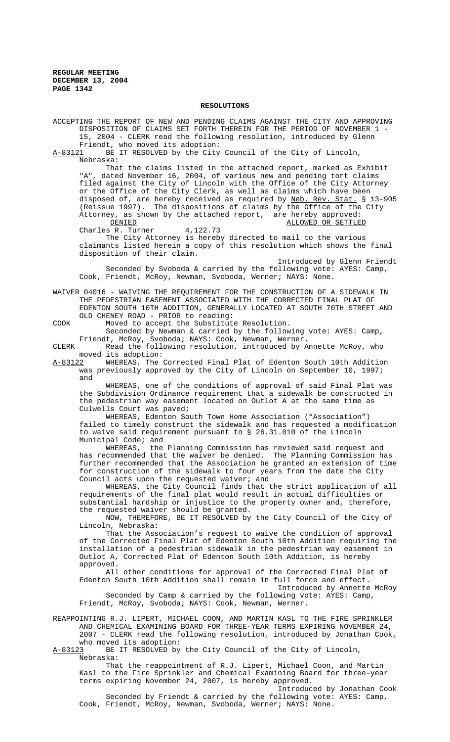#### **RESOLUTIONS**

ACCEPTING THE REPORT OF NEW AND PENDING CLAIMS AGAINST THE CITY AND APPROVING DISPOSITION OF CLAIMS SET FORTH THEREIN FOR THE PERIOD OF NOVEMBER 1 - 15, 2004 - CLERK read the following resolution, introduced by Glenn Friendt, who moved its adoption: A-83121 BE IT RESOLVED by the City Council of the City of Lincoln, Nebraska: That the claims listed in the attached report, marked as Exhibit "A", dated November 16, 2004, of various new and pending tort claims filed against the City of Lincoln with the Office of the City Attorney or the Office of the City Clerk, as well as claims which have been disposed of, are hereby received as required by Neb. Rev. Stat. § 13-905 (Reissue 1997). The dispositions of claims by the Office of the City Attorney, as shown by the attached report, are hereby approved:<br>DENIED 0R SETTLE ALLOWED OR SETTLED 4,122.73 Charles R. Turner The City Attorney is hereby directed to mail to the various claimants listed herein a copy of this resolution which shows the final disposition of their claim. Introduced by Glenn Friendt Seconded by Svoboda & carried by the following vote: AYES: Camp, Cook, Friendt, McRoy, Newman, Svoboda, Werner; NAYS: None. WAIVER 04016 - WAIVING THE REQUIREMENT FOR THE CONSTRUCTION OF A SIDEWALK IN THE PEDESTRIAN EASEMENT ASSOCIATED WITH THE CORRECTED FINAL PLAT OF EDENTON SOUTH 10TH ADDITION, GENERALLY LOCATED AT SOUTH 70TH STREET AND OLD CHENEY ROAD - PRIOR to reading: COOK Moved to accept the Substitute Resolution. Seconded by Newman & carried by the following vote: AYES: Camp, Friendt, McRoy, Svoboda; NAYS: Cook, Newman, Werner. CLERK Read the following resolution, introduced by Annette McRoy, who moved its adoption: A-83122 WHEREAS, The Corrected Final Plat of Edenton South 10th Addition was previously approved by the City of Lincoln on September 10, 1997; and WHEREAS, one of the conditions of approval of said Final Plat was the Subdivision Ordinance requirement that a sidewalk be constructed in the pedestrian way easement located on Outlot A at the same time as Culwells Court was paved; WHEREAS, Edenton South Town Home Association ("Association") failed to timely construct the sidewalk and has requested a modification to waive said requirement pursuant to § 26.31.010 of the Lincoln Municipal Code; and WHEREAS, the Planning Commission has reviewed said request and has recommended that the waiver be denied. The Planning Commission has further recommended that the Association be granted an extension of time for construction of the sidewalk to four years from the date the City Council acts upon the requested waiver; and WHEREAS, the City Council finds that the strict application of all requirements of the final plat would result in actual difficulties or substantial hardship or injustice to the property owner and, therefore, the requested waiver should be granted. NOW, THEREFORE, BE IT RESOLVED by the City Council of the City of Lincoln, Nebraska: That the Association's request to waive the condition of approval of the Corrected Final Plat of Edenton South 10th Addition requiring the installation of a pedestrian sidewalk in the pedestrian way easement in Outlot A, Corrected Plat of Edenton South 10th Addition, is hereby approved. All other conditions for approval of the Corrected Final Plat of Edenton South 10th Addition shall remain in full force and effect. Introduced by Annette McRoy Seconded by Camp & carried by the following vote: AYES: Camp, Friendt, McRoy, Svoboda; NAYS: Cook, Newman, Werner. REAPPOINTING R.J. LIPERT, MICHAEL COON, AND MARTIN KASL TO THE FIRE SPRINKLER AND CHEMICAL EXAMINING BOARD FOR THREE-YEAR TERMS EXPIRING NOVEMBER 24, 2007 - CLERK read the following resolution, introduced by Jonathan Cook, who moved its adoption: A-83123 BE IT RESOLVED by the City Council of the City of Lincoln, Nebraska:

That the reappointment of R.J. Lipert, Michael Coon, and Martin Kasl to the Fire Sprinkler and Chemical Examining Board for three-year terms expiring November 24, 2007, is hereby approved.

Introduced by Jonathan Cook Seconded by Friendt & carried by the following vote: AYES: Camp, Cook, Friendt, McRoy, Newman, Svoboda, Werner; NAYS: None.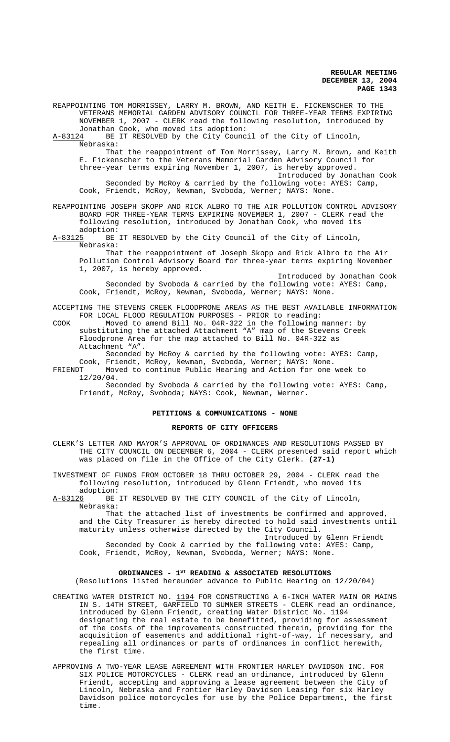REAPPOINTING TOM MORRISSEY, LARRY M. BROWN, AND KEITH E. FICKENSCHER TO THE VETERANS MEMORIAL GARDEN ADVISORY COUNCIL FOR THREE-YEAR TERMS EXPIRING NOVEMBER 1, 2007 - CLERK read the following resolution, introduced by

Jonathan Cook, who moved its adoption:<br>A-83124 BE IT RESOLVED by the City Counc BE IT RESOLVED by the City Council of the City of Lincoln, Nebraska:

That the reappointment of Tom Morrissey, Larry M. Brown, and Keith E. Fickenscher to the Veterans Memorial Garden Advisory Council for three-year terms expiring November 1, 2007, is hereby approved.

Introduced by Jonathan Cook Seconded by McRoy & carried by the following vote: AYES: Camp, Cook, Friendt, McRoy, Newman, Svoboda, Werner; NAYS: None.

# REAPPOINTING JOSEPH SKOPP AND RICK ALBRO TO THE AIR POLLUTION CONTROL ADVISORY BOARD FOR THREE-YEAR TERMS EXPIRING NOVEMBER 1, 2007 - CLERK read the following resolution, introduced by Jonathan Cook, who moved its

adoption:<br>A-83125 BE BE IT RESOLVED by the City Council of the City of Lincoln, Nebraska:

That the reappointment of Joseph Skopp and Rick Albro to the Air Pollution Control Advisory Board for three-year terms expiring November 1, 2007, is hereby approved.

Introduced by Jonathan Cook Seconded by Svoboda & carried by the following vote: AYES: Camp, Cook, Friendt, McRoy, Newman, Svoboda, Werner; NAYS: None.

ACCEPTING THE STEVENS CREEK FLOODPRONE AREAS AS THE BEST AVAILABLE INFORMATION FOR LOCAL FLOOD REGULATION PURPOSES - PRIOR to reading:

COOK Moved to amend Bill No. 04R-322 in the following manner: by substituting the attached Attachment "A" map of the Stevens Creek Floodprone Area for the map attached to Bill No. 04R-322 as Attachment "A".

Seconded by McRoy & carried by the following vote: AYES: Camp, Cook, Friendt, McRoy, Newman, Svoboda, Werner; NAYS: None.

FRIENDT Moved to continue Public Hearing and Action for one week to 12/20/04.

Seconded by Svoboda & carried by the following vote: AYES: Camp, Friendt, McRoy, Svoboda; NAYS: Cook, Newman, Werner.

# **PETITIONS & COMMUNICATIONS - NONE**

# **REPORTS OF CITY OFFICERS**

CLERK'S LETTER AND MAYOR'S APPROVAL OF ORDINANCES AND RESOLUTIONS PASSED BY THE CITY COUNCIL ON DECEMBER 6, 2004 - CLERK presented said report which was placed on file in the Office of the City Clerk. **(27-1)**

INVESTMENT OF FUNDS FROM OCTOBER 18 THRU OCTOBER 29, 2004 - CLERK read the following resolution, introduced by Glenn Friendt, who moved its adoption:

A-83126 BE IT RESOLVED BY THE CITY COUNCIL of the City of Lincoln, Nebraska:

That the attached list of investments be confirmed and approved, and the City Treasurer is hereby directed to hold said investments until maturity unless otherwise directed by the City Council.

Introduced by Glenn Friendt Seconded by Cook & carried by the following vote: AYES: Camp, Cook, Friendt, McRoy, Newman, Svoboda, Werner; NAYS: None.

# ORDINANCES - 1<sup>st</sup> READING & ASSOCIATED RESOLUTIONS

(Resolutions listed hereunder advance to Public Hearing on 12/20/04)

- CREATING WATER DISTRICT NO. 1194 FOR CONSTRUCTING A 6-INCH WATER MAIN OR MAINS IN S. 14TH STREET, GARFIELD TO SUMNER STREETS - CLERK read an ordinance, introduced by Glenn Friendt, creating Water District No. 1194 designating the real estate to be benefitted, providing for assessment of the costs of the improvements constructed therein, providing for the acquisition of easements and additional right-of-way, if necessary, and repealing all ordinances or parts of ordinances in conflict herewith, the first time.
- APPROVING A TWO-YEAR LEASE AGREEMENT WITH FRONTIER HARLEY DAVIDSON INC. FOR SIX POLICE MOTORCYCLES - CLERK read an ordinance, introduced by Glenn Friendt, accepting and approving a lease agreement between the City of Lincoln, Nebraska and Frontier Harley Davidson Leasing for six Harley Davidson police motorcycles for use by the Police Department, the first time.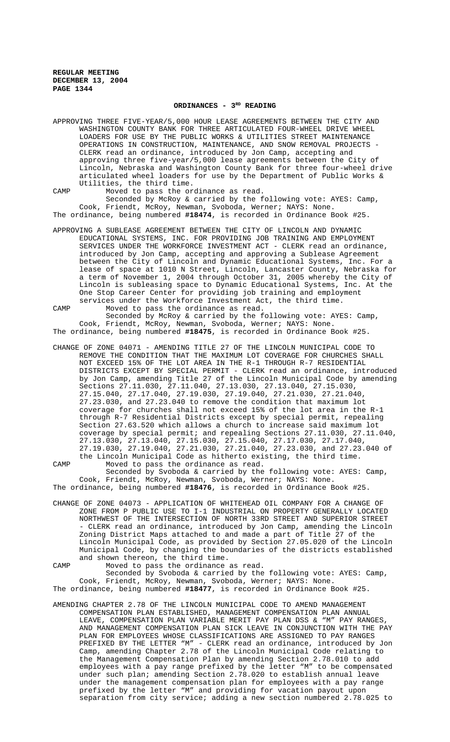# ORDINANCES -  $3<sup>RD</sup>$  READING

APPROVING THREE FIVE-YEAR/5,000 HOUR LEASE AGREEMENTS BETWEEN THE CITY AND WASHINGTON COUNTY BANK FOR THREE ARTICULATED FOUR-WHEEL DRIVE WHEEL LOADERS FOR USE BY THE PUBLIC WORKS & UTILITIES STREET MAINTENANCE OPERATIONS IN CONSTRUCTION, MAINTENANCE, AND SNOW REMOVAL PROJECTS - CLERK read an ordinance, introduced by Jon Camp, accepting and approving three five-year/5,000 lease agreements between the City of Lincoln, Nebraska and Washington County Bank for three four-wheel drive articulated wheel loaders for use by the Department of Public Works & Utilities, the third time.

CAMP Moved to pass the ordinance as read. Seconded by McRoy & carried by the following vote: AYES: Camp, Cook, Friendt, McRoy, Newman, Svoboda, Werner; NAYS: None. The ordinance, being numbered **#18474**, is recorded in Ordinance Book #25.

APPROVING A SUBLEASE AGREEMENT BETWEEN THE CITY OF LINCOLN AND DYNAMIC EDUCATIONAL SYSTEMS, INC. FOR PROVIDING JOB TRAINING AND EMPLOYMENT SERVICES UNDER THE WORKFORCE INVESTMENT ACT - CLERK read an ordinance, introduced by Jon Camp, accepting and approving a Sublease Agreement between the City of Lincoln and Dynamic Educational Systems, Inc. For a lease of space at 1010 N Street, Lincoln, Lancaster County, Nebraska for a term of November 1, 2004 through October 31, 2005 whereby the City of Lincoln is subleasing space to Dynamic Educational Systems, Inc. At the One Stop Career Center for providing job training and employment services under the Workforce Investment Act, the third time.

CAMP Moved to pass the ordinance as read. Seconded by McRoy & carried by the following vote: AYES: Camp, Cook, Friendt, McRoy, Newman, Svoboda, Werner; NAYS: None. The ordinance, being numbered **#18475**, is recorded in Ordinance Book #25.

CHANGE OF ZONE 04071 - AMENDING TITLE 27 OF THE LINCOLN MUNICIPAL CODE TO REMOVE THE CONDITION THAT THE MAXIMUM LOT COVERAGE FOR CHURCHES SHALL NOT EXCEED 15% OF THE LOT AREA IN THE R-1 THROUGH R-7 RESIDENTIAL DISTRICTS EXCEPT BY SPECIAL PERMIT - CLERK read an ordinance, introduced by Jon Camp, amending Title 27 of the Lincoln Municipal Code by amending Sections 27.11.030, 27.11.040, 27.13.030, 27.13.040, 27.15.030, 27.15.040, 27.17.040, 27.19.030, 27.19.040, 27.21.030, 27.21.040, 27.23.030, and 27.23.040 to remove the condition that maximum lot coverage for churches shall not exceed 15% of the lot area in the R-1 through R-7 Residential Districts except by special permit, repealing Section 27.63.520 which allows a church to increase said maximum lot coverage by special permit; and repealing Sections 27.11.030, 27.11.040, 27.13.030, 27.13.040, 27.15.030, 27.15.040, 27.17.030, 27.17.040, 27.19.030, 27.19.040, 27.21.030, 27.21.040, 27.23.030, and 27.23.040 of the Lincoln Municipal Code as hitherto existing, the third time.

CAMP Moved to pass the ordinance as read. Seconded by Svoboda & carried by the following vote: AYES: Camp, Cook, Friendt, McRoy, Newman, Svoboda, Werner; NAYS: None. The ordinance, being numbered **#18476**, is recorded in Ordinance Book #25.

CHANGE OF ZONE 04073 - APPLICATION OF WHITEHEAD OIL COMPANY FOR A CHANGE OF ZONE FROM P PUBLIC USE TO I-1 INDUSTRIAL ON PROPERTY GENERALLY LOCATED NORTHWEST OF THE INTERSECTION OF NORTH 33RD STREET AND SUPERIOR STREET - CLERK read an ordinance, introduced by Jon Camp, amending the Lincoln Zoning District Maps attached to and made a part of Title 27 of the Lincoln Municipal Code, as provided by Section 27.05.020 of the Lincoln Municipal Code, by changing the boundaries of the districts established and shown thereon, the third time.

CAMP Moved to pass the ordinance as read. Seconded by Svoboda & carried by the following vote: AYES: Camp, Cook, Friendt, McRoy, Newman, Svoboda, Werner; NAYS: None. The ordinance, being numbered **#18477**, is recorded in Ordinance Book #25.

AMENDING CHAPTER 2.78 OF THE LINCOLN MUNICIPAL CODE TO AMEND MANAGEMENT COMPENSATION PLAN ESTABLISHED, MANAGEMENT COMPENSATION PLAN ANNUAL LEAVE, COMPENSATION PLAN VARIABLE MERIT PAY PLAN DSS & "M" PAY RANGES, AND MANAGEMENT COMPENSATION PLAN SICK LEAVE IN CONJUNCTION WITH THE PAY PLAN FOR EMPLOYEES WHOSE CLASSIFICATIONS ARE ASSIGNED TO PAY RANGES PREFIXED BY THE LETTER "M" - CLERK read an ordinance, introduced by Jon Camp, amending Chapter 2.78 of the Lincoln Municipal Code relating to the Management Compensation Plan by amending Section 2.78.010 to add employees with a pay range prefixed by the letter "M" to be compensated under such plan; amending Section 2.78.020 to establish annual leave under the management compensation plan for employees with a pay range prefixed by the letter "M" and providing for vacation payout upon separation from city service; adding a new section numbered 2.78.025 to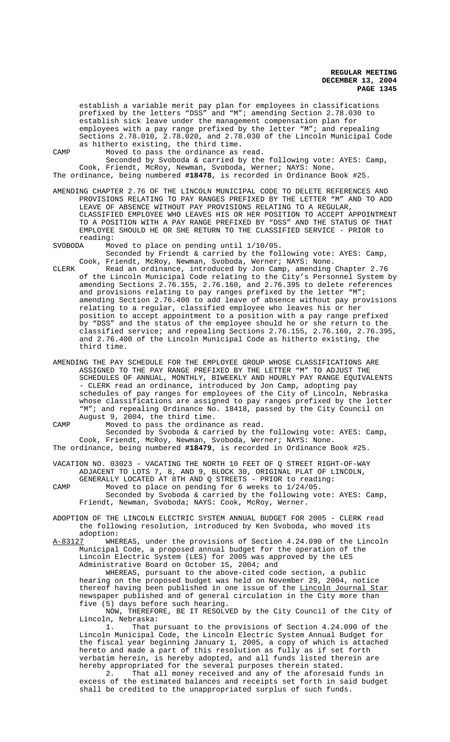establish a variable merit pay plan for employees in classifications prefixed by the letters "DSS" and "M"; amending Section 2.78.030 to establish sick leave under the management compensation plan for employees with a pay range prefixed by the letter "M"; and repealing Sections 2.78.010, 2.78.020, and 2.78.030 of the Lincoln Municipal Code as hitherto existing, the third time.

CAMP Moved to pass the ordinance as read.

Seconded by Svoboda & carried by the following vote: AYES: Camp, Cook, Friendt, McRoy, Newman, Svoboda, Werner; NAYS: None. The ordinance, being numbered **#18478**, is recorded in Ordinance Book #25.

AMENDING CHAPTER 2.76 OF THE LINCOLN MUNICIPAL CODE TO DELETE REFERENCES AND PROVISIONS RELATING TO PAY RANGES PREFIXED BY THE LETTER "M" AND TO ADD LEAVE OF ABSENCE WITHOUT PAY PROVISIONS RELATING TO A REGULAR, CLASSIFIED EMPLOYEE WHO LEAVES HIS OR HER POSITION TO ACCEPT APPOINTMENT TO A POSITION WITH A PAY RANGE PREFIXED BY "DSS" AND THE STATUS OF THAT EMPLOYEE SHOULD HE OR SHE RETURN TO THE CLASSIFIED SERVICE - PRIOR to reading:<br>SVOBODA Mo

Moved to place on pending until 1/10/05.

Seconded by Friendt & carried by the following vote: AYES: Camp, Cook, Friendt, McRoy, Newman, Svoboda, Werner; NAYS: None.

- CLERK Read an ordinance, introduced by Jon Camp, amending Chapter 2.76 of the Lincoln Municipal Code relating to the City's Personnel System by amending Sections 2.76.155, 2.76.160, and 2.76.395 to delete references and provisions relating to pay ranges prefixed by the letter "M"; amending Section 2.76.400 to add leave of absence without pay provisions relating to a regular, classified employee who leaves his or her position to accept appointment to a position with a pay range prefixed by "DSS" and the status of the employee should he or she return to the classified service; and repealing Sections 2.76.155, 2.76.160, 2.76.395, and 2.76.400 of the Lincoln Municipal Code as hitherto existing, the third time.
- AMENDING THE PAY SCHEDULE FOR THE EMPLOYEE GROUP WHOSE CLASSIFICATIONS ARE ASSIGNED TO THE PAY RANGE PREFIXED BY THE LETTER "M" TO ADJUST THE SCHEDULES OF ANNUAL, MONTHLY, BIWEEKLY AND HOURLY PAY RANGE EQUIVALENTS - CLERK read an ordinance, introduced by Jon Camp, adopting pay schedules of pay ranges for employees of the City of Lincoln, Nebraska whose classifications are assigned to pay ranges prefixed by the letter "M"; and repealing Ordinance No. 18418, passed by the City Council on August 9, 2004, the third time.
- CAMP Moved to pass the ordinance as read. Seconded by Svoboda & carried by the following vote: AYES: Camp, Cook, Friendt, McRoy, Newman, Svoboda, Werner; NAYS: None. The ordinance, being numbered **#18479**, is recorded in Ordinance Book #25.
- VACATION NO. 03023 VACATING THE NORTH 10 FEET OF Q STREET RIGHT-OF-WAY ADJACENT TO LOTS 7, 8, AND 9, BLOCK 30, ORIGINAL PLAT OF LINCOLN,
- GENERALLY LOCATED AT 8TH AND Q STREETS PRIOR to reading: CAMP Moved to place on pending for 6 weeks to 1/24/05. Seconded by Svoboda & carried by the following vote: AYES: Camp, Friendt, Newman, Svoboda; NAYS: Cook, McRoy, Werner.
- ADOPTION OF THE LINCOLN ELECTRIC SYSTEM ANNUAL BUDGET FOR 2005 CLERK read the following resolution, introduced by Ken Svoboda, who moved its adoption:<br>A-83127 WHE
- WHEREAS, under the provisions of Section 4.24.090 of the Lincoln Municipal Code, a proposed annual budget for the operation of the Lincoln Electric System (LES) for 2005 was approved by the LES Administrative Board on October 15, 2004; and WHEREAS, pursuant to the above-cited code section, a public

hearing on the proposed budget was held on November 29, 2004, notice thereof having been published in one issue of the Lincoln Journal Star newspaper published and of general circulation in the City more than five (5) days before such hearing.

NOW, THEREFORE, BE IT RESOLVED by the City Council of the City of Lincoln, Nebraska:

1. That pursuant to the provisions of Section 4.24.090 of the Lincoln Municipal Code, the Lincoln Electric System Annual Budget for the fiscal year beginning January 1, 2005, a copy of which is attached hereto and made a part of this resolution as fully as if set forth verbatim herein, is hereby adopted, and all funds listed therein are hereby appropriated for the several purposes therein stated.

2. That all money received and any of the aforesaid funds in excess of the estimated balances and receipts set forth in said budget shall be credited to the unappropriated surplus of such funds.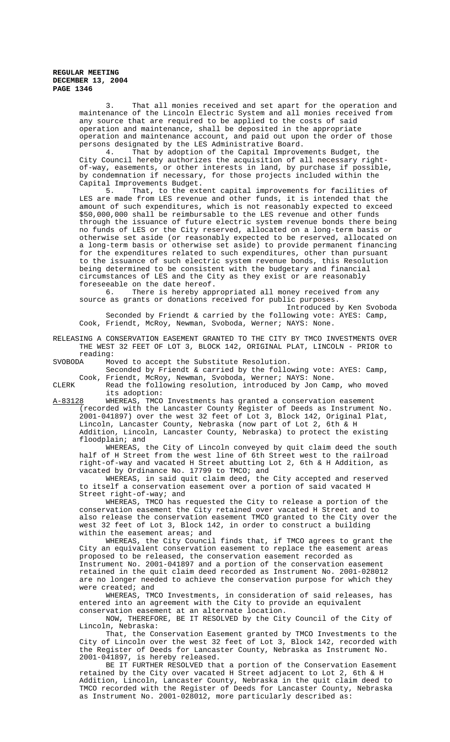3. That all monies received and set apart for the operation and maintenance of the Lincoln Electric System and all monies received from any source that are required to be applied to the costs of said operation and maintenance, shall be deposited in the appropriate operation and maintenance account, and paid out upon the order of those persons designated by the LES Administrative Board.

4. That by adoption of the Capital Improvements Budget, the City Council hereby authorizes the acquisition of all necessary rightof-way, easements, or other interests in land, by purchase if possible, by condemnation if necessary, for those projects included within the Capital Improvements Budget.<br>5. That, to the ext

That, to the extent capital improvements for facilities of LES are made from LES revenue and other funds, it is intended that the amount of such expenditures, which is not reasonably expected to exceed \$50,000,000 shall be reimbursable to the LES revenue and other funds through the issuance of future electric system revenue bonds there being no funds of LES or the City reserved, allocated on a long-term basis or otherwise set aside (or reasonably expected to be reserved, allocated on a long-term basis or otherwise set aside) to provide permanent financing for the expenditures related to such expenditures, other than pursuant to the issuance of such electric system revenue bonds, this Resolution being determined to be consistent with the budgetary and financial circumstances of LES and the City as they exist or are reasonably foreseeable on the date hereof.<br>6. There is hereby app:

There is hereby appropriated all money received from any source as grants or donations received for public purposes.

Seconded by Friendt & carried by the following vote: AYES: Camp, Cook, Friendt, McRoy, Newman, Svoboda, Werner; NAYS: None.

Introduced by Ken Svoboda

RELEASING A CONSERVATION EASEMENT GRANTED TO THE CITY BY TMCO INVESTMENTS OVER THE WEST 32 FEET OF LOT 3, BLOCK 142, ORIGINAL PLAT, LINCOLN - PRIOR to reading:<br>SVOBODA Mo

Moved to accept the Substitute Resolution.

Seconded by Friendt & carried by the following vote: AYES: Camp, Cook, Friendt, McRoy, Newman, Svoboda, Werner; NAYS: None.

CLERK Read the following resolution, introduced by Jon Camp, who moved its adoption:

A-83128 WHEREAS, TMCO Investments has granted a conservation easement (recorded with the Lancaster County Register of Deeds as Instrument No. 2001-041897) over the west 32 feet of Lot 3, Block 142, Original Plat, Lincoln, Lancaster County, Nebraska (now part of Lot 2, 6th & H Addition, Lincoln, Lancaster County, Nebraska) to protect the existing floodplain; and

WHEREAS, the City of Lincoln conveyed by quit claim deed the south half of H Street from the west line of 6th Street west to the railroad right-of-way and vacated H Street abutting Lot 2, 6th & H Addition, as vacated by Ordinance No. 17799 to TMCO; and

WHEREAS, in said quit claim deed, the City accepted and reserved to itself a conservation easement over a portion of said vacated H Street right-of-way; and

WHEREAS, TMCO has requested the City to release a portion of the conservation easement the City retained over vacated H Street and to also release the conservation easement TMCO granted to the City over the west 32 feet of Lot 3, Block 142, in order to construct a building within the easement areas; and

WHEREAS, the City Council finds that, if TMCO agrees to grant the City an equivalent conservation easement to replace the easement areas proposed to be released, the conservation easement recorded as Instrument No. 2001-041897 and a portion of the conservation easement retained in the quit claim deed recorded as Instrument No. 2001-028012 are no longer needed to achieve the conservation purpose for which they were created; and

WHEREAS, TMCO Investments, in consideration of said releases, has entered into an agreement with the City to provide an equivalent conservation easement at an alternate location.

NOW, THEREFORE, BE IT RESOLVED by the City Council of the City of Lincoln, Nebraska:

That, the Conservation Easement granted by TMCO Investments to the City of Lincoln over the west 32 feet of Lot 3, Block 142, recorded with the Register of Deeds for Lancaster County, Nebraska as Instrument No. 2001-041897, is hereby released.

BE IT FURTHER RESOLVED that a portion of the Conservation Easement retained by the City over vacated H Street adjacent to Lot 2, 6th & H Addition, Lincoln, Lancaster County, Nebraska in the quit claim deed to TMCO recorded with the Register of Deeds for Lancaster County, Nebraska as Instrument No. 2001-028012, more particularly described as: